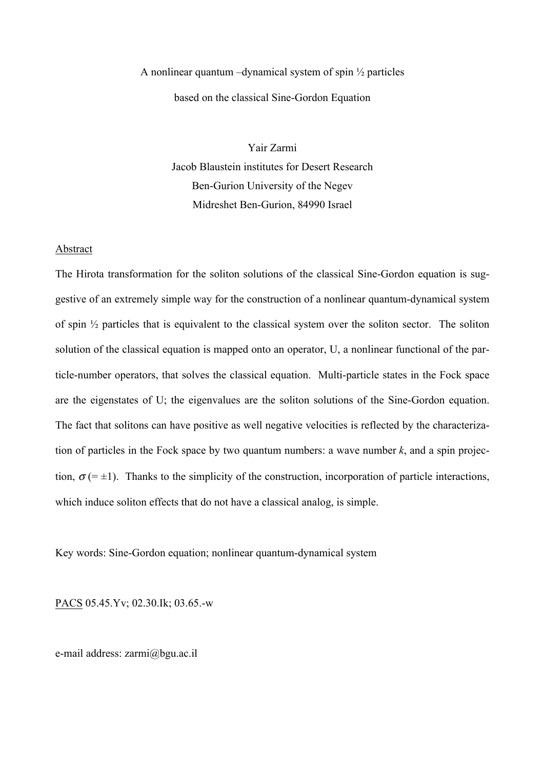## A nonlinear quantum –dynamical system of spin ½ particles based on the classical Sine-Gordon Equation

Yair Zarmi Jacob Blaustein institutes for Desert Research Ben-Gurion University of the Negev Midreshet Ben-Gurion, 84990 Israel

## Abstract

The Hirota transformation for the soliton solutions of the classical Sine-Gordon equation is suggestive of an extremely simple way for the construction of a nonlinear quantum-dynamical system of spin ½ particles that is equivalent to the classical system over the soliton sector. The soliton solution of the classical equation is mapped onto an operator, U, a nonlinear functional of the particle-number operators, that solves the classical equation. Multi-particle states in the Fock space are the eigenstates of U; the eigenvalues are the soliton solutions of the Sine-Gordon equation. The fact that solitons can have positive as well negative velocities is reflected by the characterization of particles in the Fock space by two quantum numbers: a wave number *k*, and a spin projection,  $\sigma$  (=  $\pm$ 1). Thanks to the simplicity of the construction, incorporation of particle interactions, which induce soliton effects that do not have a classical analog, is simple.

Key words: Sine-Gordon equation; nonlinear quantum-dynamical system

PACS 05.45.Yv; 02.30.Ik; 03.65.-w

e-mail address: zarmi@bgu.ac.il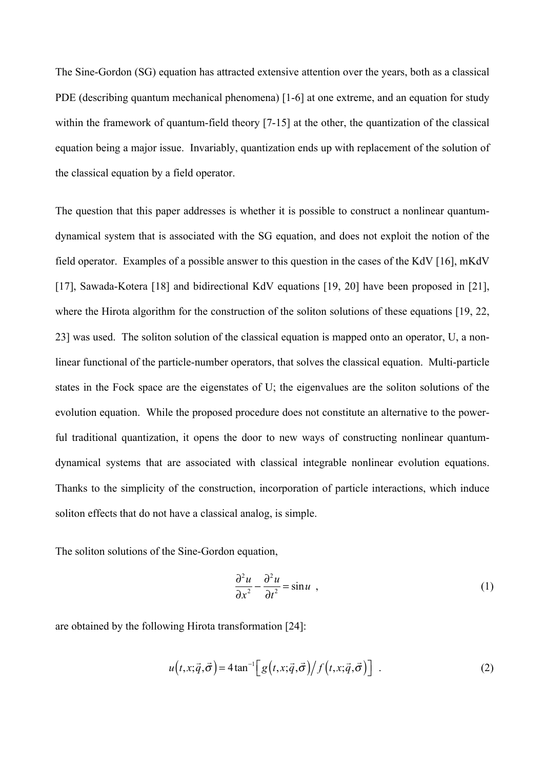The Sine-Gordon (SG) equation has attracted extensive attention over the years, both as a classical PDE (describing quantum mechanical phenomena) [1-6] at one extreme, and an equation for study within the framework of quantum-field theory [7-15] at the other, the quantization of the classical equation being a major issue. Invariably, quantization ends up with replacement of the solution of the classical equation by a field operator.

The question that this paper addresses is whether it is possible to construct a nonlinear quantumdynamical system that is associated with the SG equation, and does not exploit the notion of the field operator. Examples of a possible answer to this question in the cases of the KdV [16], mKdV [17], Sawada-Kotera [18] and bidirectional KdV equations [19, 20] have been proposed in [21], where the Hirota algorithm for the construction of the soliton solutions of these equations [19, 22, 23] was used. The soliton solution of the classical equation is mapped onto an operator, U, a nonlinear functional of the particle-number operators, that solves the classical equation. Multi-particle states in the Fock space are the eigenstates of U; the eigenvalues are the soliton solutions of the evolution equation. While the proposed procedure does not constitute an alternative to the powerful traditional quantization, it opens the door to new ways of constructing nonlinear quantumdynamical systems that are associated with classical integrable nonlinear evolution equations. Thanks to the simplicity of the construction, incorporation of particle interactions, which induce soliton effects that do not have a classical analog, is simple.

The soliton solutions of the Sine-Gordon equation,

$$
\frac{\partial^2 u}{\partial x^2} - \frac{\partial^2 u}{\partial t^2} = \sin u \quad , \tag{1}
$$

are obtained by the following Hirota transformation [24]:

$$
u(t, x; \vec{q}, \vec{\sigma}) = 4 \tan^{-1} \left[ g(t, x; \vec{q}, \vec{\sigma}) / f(t, x; \vec{q}, \vec{\sigma}) \right] \tag{2}
$$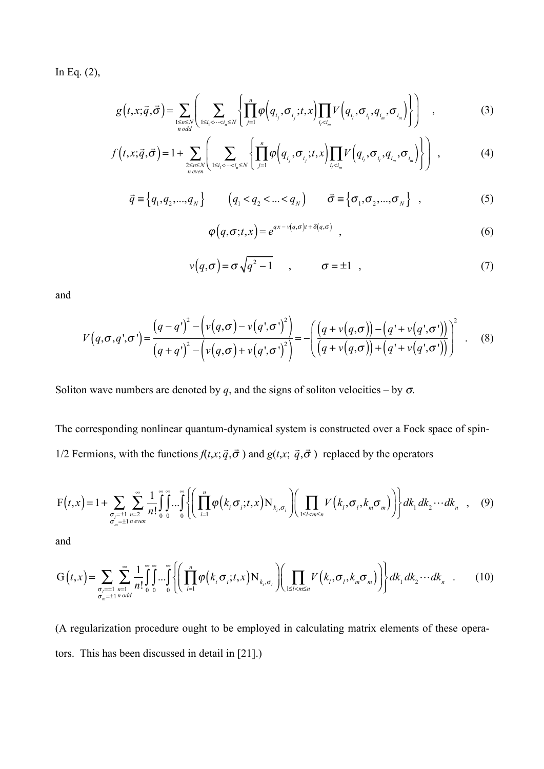In Eq. (2),

$$
g(t,x;\vec{q},\vec{\sigma}) = \sum_{\substack{1 \le n \le N \\ n \text{ odd}}} \left( \sum_{1 \le i_1 < \cdots < i_n \le N} \left\{ \prod_{j=1}^n \varphi\left(q_{i_j}, \sigma_{i_j}; t, x\right) \prod_{i_j < i_m} V\left(q_{i_j}, \sigma_{i_j}, q_{i_m}, \sigma_{i_m}\right) \right\} \right) , \tag{3}
$$

$$
f(t,x;\vec{q},\vec{\sigma}) = 1 + \sum_{2 \le n \le N \atop n \text{ even}} \left( \sum_{1 \le i_1 < \dots < i_n \le N} \left\{ \prod_{j=1}^n \varphi\left(q_{i_j}, \sigma_{i_j}; t, x\right) \prod_{i_j < i_m} V\left(q_{i_j}, \sigma_{i_j}, q_{i_m}, \sigma_{i_m}\right) \right\} \right) , \tag{4}
$$

$$
\vec{q} \equiv \left\{ q_1, q_2, ..., q_N \right\} \qquad \left( q_1 < q_2 < ... < q_N \right) \qquad \vec{\sigma} \equiv \left\{ \sigma_1, \sigma_2, ..., \sigma_N \right\} \quad , \tag{5}
$$

$$
\varphi\big(q,\sigma;t,x\big)=e^{qx-v\left(q,\sigma\right)t+\delta\left(q,\sigma\right)}\quad,\tag{6}
$$

$$
v(q,\sigma) = \sigma \sqrt{q^2 - 1} \qquad , \qquad \sigma = \pm 1 \quad , \tag{7}
$$

and

$$
V(q, \sigma, q', \sigma') = \frac{(q - q')^{2} - \left(v(q, \sigma) - v(q', \sigma')^{2}\right)}{(q + q')^{2} - \left(v(q, \sigma) + v(q', \sigma')^{2}\right)} = -\left(\frac{(q + v(q, \sigma)) - (q' + v(q', \sigma'))}{(q + v(q, \sigma)) + (q' + v(q', \sigma'))}\right)^{2}
$$
(8)

Soliton wave numbers are denoted by *q*, and the signs of soliton velocities – by  $\sigma$ .

The corresponding nonlinear quantum-dynamical system is constructed over a Fock space of spin-1/2 Fermions, with the functions  $f(t,x;\vec{q},\vec{\sigma})$  and  $g(t,x;\vec{q},\vec{\sigma})$  replaced by the operators

$$
F(t,x) = 1 + \sum_{\substack{\sigma_i = \pm 1 \\ \sigma_m = \pm 1 \text{ n even}}} \sum_{n=2}^{\infty} \frac{1}{n!} \int_{0}^{\infty} \int_{0}^{\infty} \cdots \int_{0}^{\infty} \left\{ \left( \prod_{i=1}^{n} \varphi\left(k_i \sigma_i; t, x\right) N_{k_i, \sigma_i} \right) \left( \prod_{1 \leq l < m \leq n} V\left(k_l, \sigma_l, k_m \sigma_m\right) \right) \right\} dk_1 dk_2 \cdots dk_n \quad , \quad (9)
$$

and

$$
G(t,x) = \sum_{\substack{\sigma_i = \pm 1 \\ \sigma_m = \pm 1 \mod d}} \sum_{n=1}^{\infty} \frac{1}{n!} \int_{0}^{\infty} \int_{0}^{\infty} \cdots \int_{0}^{\infty} \left\{ \left( \prod_{i=1}^{n} \varphi\left(k_i \sigma_i; t, x\right) N_{k_i, \sigma_i} \right) \left( \prod_{1 \le i < m \le n} V\left(k_i, \sigma_i, k_m \sigma_m\right) \right) \right\} dk_1 dk_2 \cdots dk_n \quad . \tag{10}
$$

(A regularization procedure ought to be employed in calculating matrix elements of these operators. This has been discussed in detail in [21].)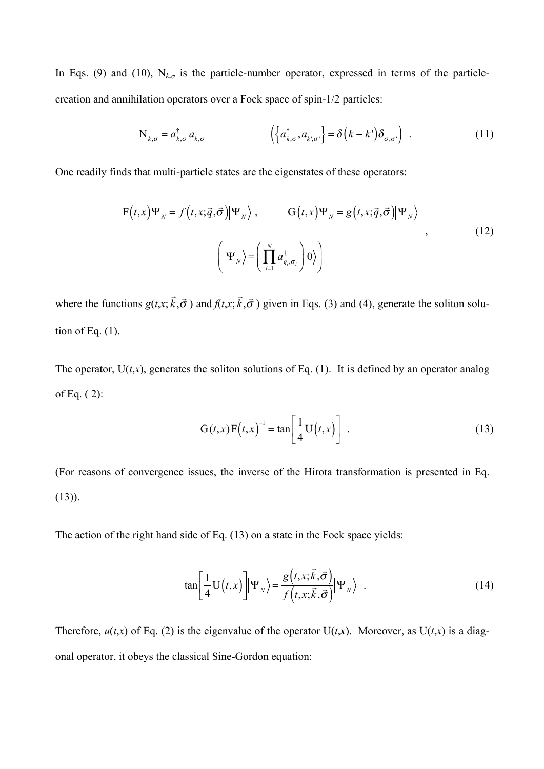In Eqs. (9) and (10),  $N_{k,\sigma}$  is the particle-number operator, expressed in terms of the particlecreation and annihilation operators over a Fock space of spin-1/2 particles:

$$
N_{k,\sigma} = a_{k,\sigma}^{\dagger} a_{k,\sigma} \qquad \left( \left\{ a_{k,\sigma}^{\dagger}, a_{k,\sigma'} \right\} = \delta \left( k - k' \right) \delta_{\sigma,\sigma'} \right) \tag{11}
$$

One readily finds that multi-particle states are the eigenstates of these operators:

$$
F(t,x)\Psi_{N} = f(t,x;\vec{q},\vec{\sigma})|\Psi_{N}\rangle, \qquad G(t,x)\Psi_{N} = g(t,x;\vec{q},\vec{\sigma})|\Psi_{N}\rangle
$$
  

$$
\left(|\Psi_{N}\rangle = \left(\prod_{i=1}^{N} a_{q_{i},\sigma_{i}}^{\dagger}\right)|0\rangle\right)
$$
 (12)

where the functions  $g(t, x)$ ;  $\Rightarrow$  $\vec{k}, \vec{\sigma}$ ) and  $f(t, x;$  $\Rightarrow$  $\vec{k}, \vec{\sigma}$ ) given in Eqs. (3) and (4), generate the soliton solution of Eq.  $(1)$ .

The operator,  $U(t,x)$ , generates the soliton solutions of Eq. (1). It is defined by an operator analog of Eq. ( 2):

$$
G(t,x)F(t,x)^{-1} = \tan\left[\frac{1}{4}U(t,x)\right].
$$
\n(13)

(For reasons of convergence issues, the inverse of the Hirota transformation is presented in Eq.  $(13)$ ).

The action of the right hand side of Eq. (13) on a state in the Fock space yields:

$$
\tan\left[\frac{1}{4}\mathbf{U}(t,x)\right]\Psi_{N}\rangle = \frac{g\left(t,x;\vec{k},\vec{\sigma}\right)}{f\left(t,x;\vec{k},\vec{\sigma}\right)}\Psi_{N}\rangle \quad . \tag{14}
$$

Therefore,  $u(t,x)$  of Eq. (2) is the eigenvalue of the operator  $U(t,x)$ . Moreover, as  $U(t,x)$  is a diagonal operator, it obeys the classical Sine-Gordon equation: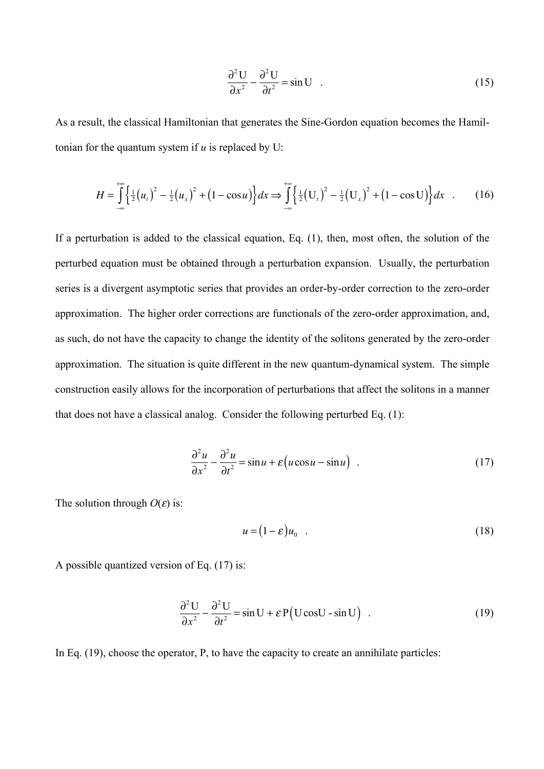$$
\frac{\partial^2 U}{\partial x^2} - \frac{\partial^2 U}{\partial t^2} = \sin U \quad . \tag{15}
$$

As a result, the classical Hamiltonian that generates the Sine-Gordon equation becomes the Hamiltonian for the quantum system if  $u$  is replaced by U:

$$
H = \int_{-\infty}^{+\infty} \left\{ \frac{1}{2} (u_t)^2 - \frac{1}{2} (u_x)^2 + (1 - \cos u) \right\} dx \Rightarrow \int_{-\infty}^{+\infty} \left\{ \frac{1}{2} (U_t)^2 - \frac{1}{2} (U_x)^2 + (1 - \cos u) \right\} dx \quad . \tag{16}
$$

If a perturbation is added to the classical equation, Eq. (1), then, most often, the solution of the perturbed equation must be obtained through a perturbation expansion. Usually, the perturbation series is a divergent asymptotic series that provides an order-by-order correction to the zero-order approximation. The higher order corrections are functionals of the zero-order approximation, and, as such, do not have the capacity to change the identity of the solitons generated by the zero-order approximation. The situation is quite different in the new quantum-dynamical system. The simple construction easily allows for the incorporation of perturbations that affect the solitons in a manner that does not have a classical analog. Consider the following perturbed Eq. (1):

$$
\frac{\partial^2 u}{\partial x^2} - \frac{\partial^2 u}{\partial t^2} = \sin u + \varepsilon \left( u \cos u - \sin u \right) \tag{17}
$$

The solution through  $O(\varepsilon)$  is:

$$
u = (1 - \varepsilon)u_0 \t\t(18)
$$

A possible quantized version of Eq. (17) is:

$$
\frac{\partial^2 U}{\partial x^2} - \frac{\partial^2 U}{\partial t^2} = \sin U + \varepsilon P(U \cos U - \sin U) \quad . \tag{19}
$$

In Eq. (19), choose the operator, P, to have the capacity to create an annihilate particles: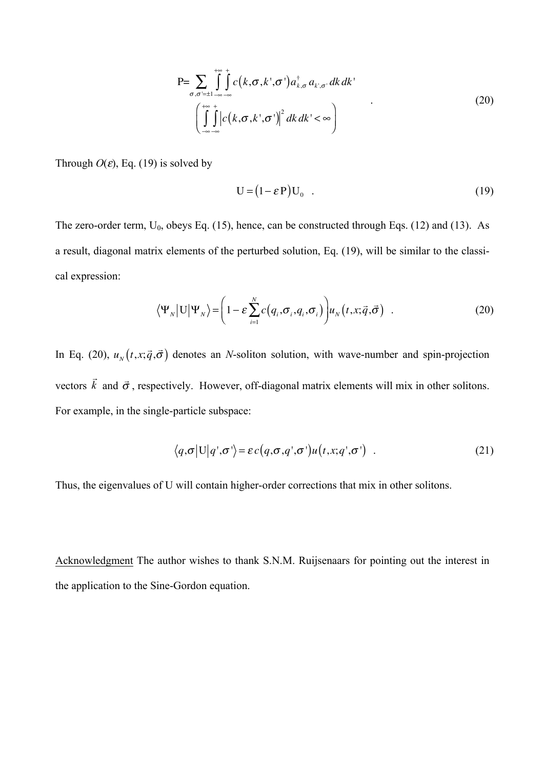$$
P = \sum_{\sigma,\sigma'=1} \int_{-\infty}^{+\infty} \int_{-\infty}^{+\infty} c(k,\sigma,k',\sigma') a_{k,\sigma}^{\dagger} a_{k',\sigma'} dk dk'
$$
  

$$
\left(\int_{-\infty}^{+\infty} \int_{-\infty}^{+\infty} \left|c(k,\sigma,k',\sigma')\right|^2 dk dk' < \infty\right)
$$
 (20)

Through  $O(\varepsilon)$ , Eq. (19) is solved by

$$
U = (1 - \varepsilon P) U_0 \tag{19}
$$

The zero-order term,  $U_0$ , obeys Eq. (15), hence, can be constructed through Eqs. (12) and (13). As a result, diagonal matrix elements of the perturbed solution, Eq. (19), will be similar to the classical expression:

$$
\langle \Psi_N | \mathbf{U} | \Psi_N \rangle = \left( 1 - \varepsilon \sum_{i=1}^N c(q_i, \sigma_i, q_i, \sigma_i) \right) u_N(t, x; \vec{q}, \vec{\sigma}) \quad . \tag{20}
$$

In Eq. (20),  $u_N(t, x; \vec{q}, \vec{\sigma})$  denotes an *N*-soliton solution, with wave-number and spin-projection vectors  $\vec{k}$  and  $\vec{\sigma}$ , respectively. However, off-diagonal matrix elements will mix in other solitons. For example, in the single-particle subspace:

$$
\langle q, \sigma | U | q', \sigma' \rangle = \varepsilon c(q, \sigma, q', \sigma') u(t, x; q', \sigma') \quad . \tag{21}
$$

Thus, the eigenvalues of U will contain higher-order corrections that mix in other solitons.

Acknowledgment The author wishes to thank S.N.M. Ruijsenaars for pointing out the interest in the application to the Sine-Gordon equation.